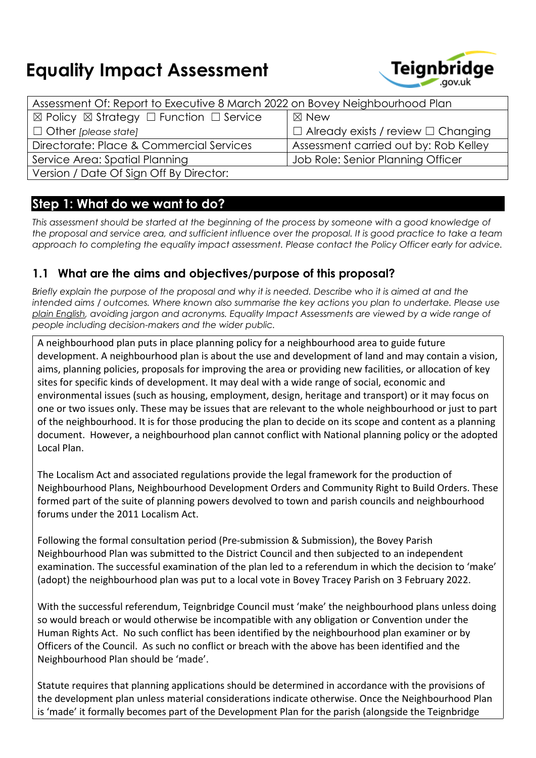# **Equality Impact Assessment**



| Assessment Of: Report to Executive 8 March 2022 on Bovey Neighbourhood Plan |                                                |  |
|-----------------------------------------------------------------------------|------------------------------------------------|--|
| $\boxtimes$ Policy $\boxtimes$ Strategy $\Box$ Function $\Box$ Service      | $\boxtimes$ New                                |  |
| $\Box$ Other [please state]                                                 | $\Box$ Already exists / review $\Box$ Changing |  |
| Directorate: Place & Commercial Services                                    | Assessment carried out by: Rob Kelley          |  |
| Service Area: Spatial Planning                                              | Job Role: Senior Planning Officer              |  |
| Version / Date Of Sign Off By Director:                                     |                                                |  |

## **Step 1: What do we want to do?**

This assessment should be started at the beginning of the process by someone with a good knowledge of the proposal and service area, and sufficient influence over the proposal. It is good practice to take a team *approach to completing the equality impact assessment. Please contact the Policy Officer early for advice.*

#### **1.1 What are the aims and objectives/purpose of this proposal?**

Briefly explain the purpose of the proposal and why it is needed. Describe who it is aimed at and the *intended aims / outcomes. Where known also summarise the key actions you plan to undertake. Please use plain [English,](http://intranet.bcc.lan/ccm/cms-service/stream/asset/?asset_id=19824019) avoiding jargon and acronyms. Equality Impact Assessments are viewed by a wide range of people including decision-makers and the wider public.*

A neighbourhood plan puts in place planning policy for a neighbourhood area to guide future development. A neighbourhood plan is about the use and development of land and may contain a vision, aims, planning policies, proposals for improving the area or providing new facilities, or allocation of key sites for specific kinds of development. It may deal with a wide range of social, economic and environmental issues (such as housing, employment, design, heritage and transport) or it may focus on one or two issues only. These may be issues that are relevant to the whole neighbourhood or just to part of the neighbourhood. It is for those producing the plan to decide on its scope and content as a planning document. However, a neighbourhood plan cannot conflict with National planning policy or the adopted Local Plan.

The Localism Act and associated regulations provide the legal framework for the production of Neighbourhood Plans, Neighbourhood Development Orders and Community Right to Build Orders. These formed part of the suite of planning powers devolved to town and parish councils and neighbourhood forums under the 2011 Localism Act.

Following the formal consultation period (Pre-submission & Submission), the Bovey Parish Neighbourhood Plan was submitted to the District Council and then subjected to an independent examination. The successful examination of the plan led to a referendum in which the decision to 'make' (adopt) the neighbourhood plan was put to a local vote in Bovey Tracey Parish on 3 February 2022.

With the successful referendum, Teignbridge Council must 'make' the neighbourhood plans unless doing so would breach or would otherwise be incompatible with any obligation or Convention under the Human Rights Act. No such conflict has been identified by the neighbourhood plan examiner or by Officers of the Council. As such no conflict or breach with the above has been identified and the Neighbourhood Plan should be 'made'.

Statute requires that planning applications should be determined in accordance with the provisions of the development plan unless material considerations indicate otherwise. Once the Neighbourhood Plan is 'made' it formally becomes part of the Development Plan for the parish (alongside the Teignbridge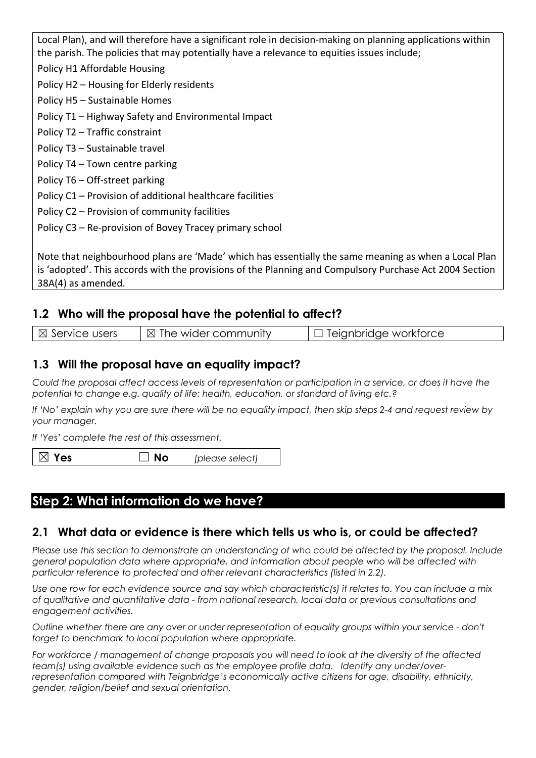Local Plan), and will therefore have a significant role in decision-making on planning applications within the parish. The policies that may potentially have a relevance to equities issues include; Policy H1 Affordable Housing Policy H2 – Housing for Elderly residents Policy H5 – Sustainable Homes Policy T1 – Highway Safety and Environmental Impact Policy T2 – Traffic constraint Policy T3 – Sustainable travel Policy T4 – Town centre parking Policy T6 – Off-street parking Policy C1 – Provision of additional healthcare facilities Policy C2 – Provision of community facilities Policy C3 – Re-provision of Bovey Tracey primary school

Note that neighbourhood plans are 'Made' which has essentially the same meaning as when a Local Plan is 'adopted'. This accords with the provisions of the Planning and Compulsory Purchase Act 2004 Section 38A(4) as amended.

## **1.2 Who will the proposal have the potential to affect?**

| $\boxtimes$ Service users | $\boxtimes$ The wider community | $\Box$ Teignbridge workforce |
|---------------------------|---------------------------------|------------------------------|
|                           |                                 |                              |

#### **1.3 Will the proposal have an equality impact?**

Could the proposal affect access levels of representation or participation in a service, or does it have the *potential to change e.g. quality of life: health, education, or standard of living etc.?*

If 'No' explain why you are sure there will be no equality impact, then skip steps 2-4 and request review by *your manager.*

*If 'Yes' complete the rest of this assessment.*

 $\boxtimes$  **Yes**  $\Box$  **No** *[please select]* 

## **Step 2: What information do we have?**

#### **2.1 What data or evidence is there which tells us who is, or could be affected?**

*Please use this section to demonstrate an understanding of who could be affected by the proposal. Include general population data where appropriate, and information about people who will be affected with particular reference to protected and other relevant characteristics (listed in 2.2).*

Use one row for each evidence source and say which characteristic(s) it relates to. You can include a mix *of qualitative and quantitative data - from national research, local data or previous consultations and engagement activities.*

*Outline whether there are any over or under representation of equality groups within your service - don't forget to benchmark to local population where appropriate.*

For workforce / management of change proposals you will need to look at the diversity of the affected *team(s) using available evidence such as the employee profile data. Identify any under/overrepresentation compared with Teignbridge's economically active citizens for age, disability, ethnicity, gender, religion/belief and sexual orientation.*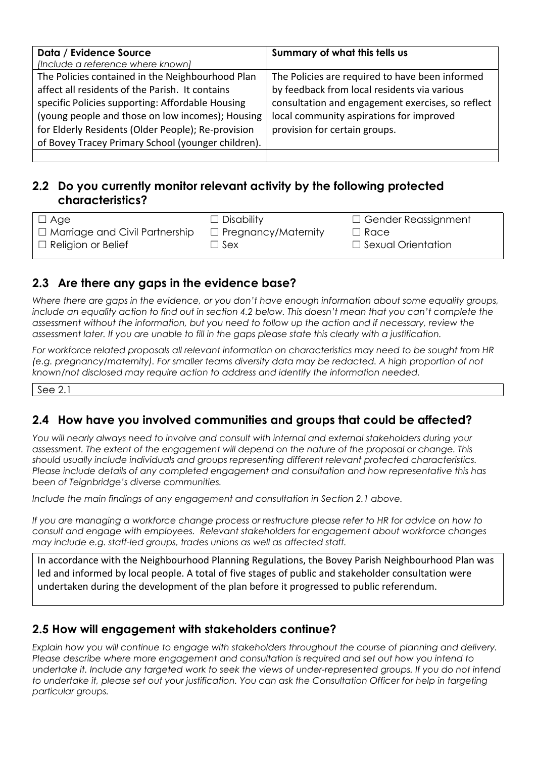| Data / Evidence Source                             | Summary of what this tells us                     |
|----------------------------------------------------|---------------------------------------------------|
| [Include a reference where known]                  |                                                   |
| The Policies contained in the Neighbourhood Plan   | The Policies are required to have been informed   |
| affect all residents of the Parish. It contains    | by feedback from local residents via various      |
| specific Policies supporting: Affordable Housing   | consultation and engagement exercises, so reflect |
| (young people and those on low incomes); Housing   | local community aspirations for improved          |
| for Elderly Residents (Older People); Re-provision | provision for certain groups.                     |
| of Bovey Tracey Primary School (younger children). |                                                   |
|                                                    |                                                   |

#### **2.2 Do you currently monitor relevant activity by the following protected characteristics?**

| ⊺⊟ Age                                | $\Box$ Disability          | $\Box$ Gender Reassignment |
|---------------------------------------|----------------------------|----------------------------|
| $\Box$ Marriage and Civil Partnership | $\Box$ Pregnancy/Maternity | $\Box$ Race                |
| $\Box$ Religion or Belief             | $\Box$ Sex                 | $\Box$ Sexual Orientation  |
|                                       |                            |                            |

## **2.3 Are there any gaps in the evidence base?**

*Where there are gaps in the evidence, or you don't have enough information about some equality groups,* include an equality action to find out in section 4.2 below. This doesn't mean that you can't complete the *assessment without the information, but you need to follow up the action and if necessary, review the* assessment later. If you are unable to fill in the gaps please state this clearly with a justification.

*For workforce related proposals all relevant information on characteristics may need to be sought from HR (e.g. pregnancy/maternity). For smaller teams diversity data may be redacted. A high proportion of not known/not disclosed may require action to address and identify the information needed.*

See 2.1

#### **2.4 How have you involved communities and groups that could be affected?**

*You will nearly always need to involve and consult with internal and external stakeholders during your assessment. The extent of the engagement will depend on the nature of the proposal or change. This should usually include individuals and groups representing different relevant protected characteristics. Please include details of any completed engagement and consultation and how representative this has been of Teignbridge's diverse communities.*

*Include the main findings of any engagement and consultation in Section 2.1 above.*

If you are managing a workforce change process or restructure please refer to HR for advice on how to *consult and engage with employees. Relevant stakeholders for engagement about workforce changes may include e.g. staff-led groups, trades unions as well as affected staff.*

In accordance with the Neighbourhood Planning Regulations, the Bovey Parish Neighbourhood Plan was led and informed by local people. A total of five stages of public and stakeholder consultation were undertaken during the development of the plan before it progressed to public referendum.

#### **2.5 How will engagement with stakeholders continue?**

*Explain how you will continue to engage with stakeholders throughout the course of planning and delivery. Please describe where more engagement and consultation is required and set out how you intend to* undertake it. Include any targeted work to seek the views of under-represented groups. If you do not intend to undertake it, please set out your justification. You can ask the Consultation Officer for help in targeting *particular groups.*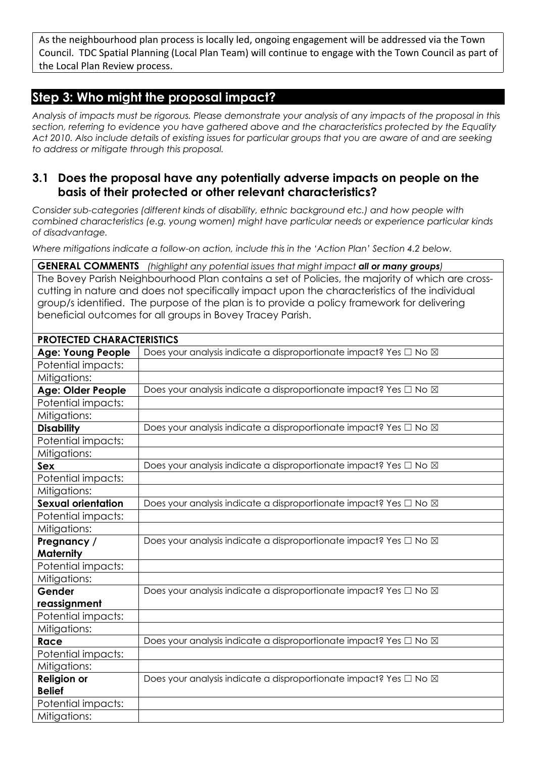As the neighbourhood plan process is locally led, ongoing engagement will be addressed via the Town Council. TDC Spatial Planning (Local Plan Team) will continue to engage with the Town Council as part of the Local Plan Review process.

# **Step 3: Who might the proposal impact?**

Analysis of impacts must be rigorous. Please demonstrate your analysis of any impacts of the proposal in this *section, referring to evidence you have gathered above and the characteristics protected by the Equality* Act 2010. Also include details of existing issues for particular groups that you are aware of and are seeking *to address or mitigate through this proposal.*

#### **3.1 Does the proposal have any potentially adverse impacts on people on the basis of their protected or other relevant characteristics?**

*Consider sub-categories (different kinds of disability, ethnic background etc.) and how people with combined characteristics (e.g. young women) might have particular needs or experience particular kinds of disadvantage.*

*Where mitigations indicate a follow-on action, include this in the 'Action Plan' Section 4.2 below.*

**GENERAL COMMENTS** *(highlight any potential issues that might impact all or many groups)* The Bovey Parish Neighbourhood Plan contains a set of Policies, the majority of which are crosscutting in nature and does not specifically impact upon the characteristics of the individual group/s identified. The purpose of the plan is to provide a policy framework for delivering beneficial outcomes for all groups in Bovey Tracey Parish.

| <b>PROTECTED CHARACTERISTICS</b> |                                                                                  |
|----------------------------------|----------------------------------------------------------------------------------|
| <b>Age: Young People</b>         | Does your analysis indicate a disproportionate impact? Yes □ No ⊠                |
| Potential impacts:               |                                                                                  |
| Mitigations:                     |                                                                                  |
| <b>Age: Older People</b>         | Does your analysis indicate a disproportionate impact? Yes □ No ⊠                |
| Potential impacts:               |                                                                                  |
| Mitigations:                     |                                                                                  |
| <b>Disability</b>                | Does your analysis indicate a disproportionate impact? Yes □ No ⊠                |
| Potential impacts:               |                                                                                  |
| Mitigations:                     |                                                                                  |
| Sex                              | Does your analysis indicate a disproportionate impact? Yes $\Box$ No $\boxtimes$ |
| Potential impacts:               |                                                                                  |
| Mitigations:                     |                                                                                  |
| <b>Sexual orientation</b>        | Does your analysis indicate a disproportionate impact? Yes □ No ⊠                |
| Potential impacts:               |                                                                                  |
| Mitigations:                     |                                                                                  |
| Pregnancy /                      | Does your analysis indicate a disproportionate impact? Yes □ No ⊠                |
| <b>Maternity</b>                 |                                                                                  |
| Potential impacts:               |                                                                                  |
| Mitigations:                     |                                                                                  |
| Gender                           | Does your analysis indicate a disproportionate impact? Yes □ No ⊠                |
| reassignment                     |                                                                                  |
| Potential impacts:               |                                                                                  |
| Mitigations:                     |                                                                                  |
| Race                             | Does your analysis indicate a disproportionate impact? Yes □ No ⊠                |
| Potential impacts:               |                                                                                  |
| Mitigations:                     |                                                                                  |
| <b>Religion or</b>               | Does your analysis indicate a disproportionate impact? Yes □ No ⊠                |
| <b>Belief</b>                    |                                                                                  |
| Potential impacts:               |                                                                                  |
| Mitigations:                     |                                                                                  |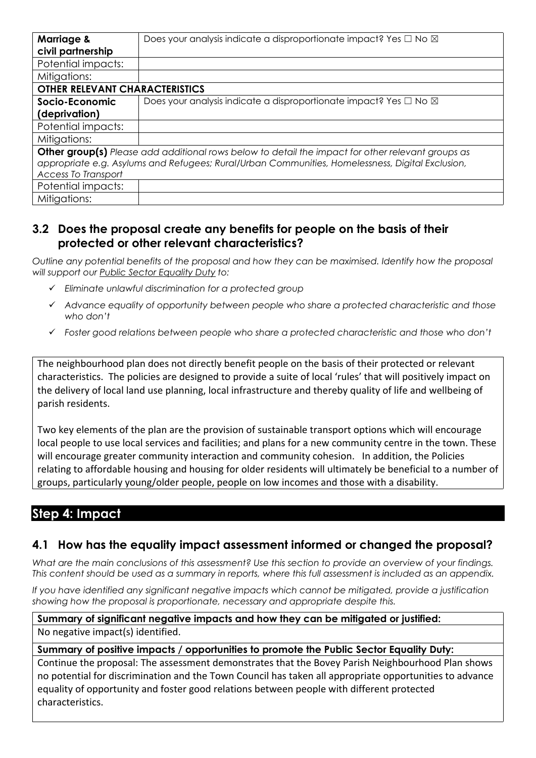| <b>Marriage &amp;</b><br>civil partnership | Does your analysis indicate a disproportionate impact? Yes $\Box$ No $\boxtimes$                         |
|--------------------------------------------|----------------------------------------------------------------------------------------------------------|
| Potential impacts:                         |                                                                                                          |
| Mitigations:                               |                                                                                                          |
| <b>OTHER RELEVANT CHARACTERISTICS</b>      |                                                                                                          |
| Socio-Economic                             | Does your analysis indicate a disproportionate impact? Yes □ No ⊠                                        |
| (deprivation)                              |                                                                                                          |
| Potential impacts:                         |                                                                                                          |
| Mitigations:                               |                                                                                                          |
|                                            | <b>Other group(s)</b> Please add additional rows below to detail the impact for other relevant groups as |
|                                            | appropriate e.g. Asylums and Refugees; Rural/Urban Communities, Homelessness, Digital Exclusion,         |
| <b>Access To Transport</b>                 |                                                                                                          |
| Potential impacts:                         |                                                                                                          |
| Mitigations:                               |                                                                                                          |

## **3.2 Does the proposal create any benefits for people on the basis of their protected or other relevant characteristics?**

*Outline any potential benefits of the proposal and how they can be maximised. Identify how the proposal will support our Public Sector [Equality](https://www.equalityhumanrights.com/en/advice-and-guidance/public-sector-equality-duty) Duty to:*

- *Eliminate unlawful discrimination for a protected group*
- *Advance equality of opportunity between people who share a protected characteristic and those who don't*
- *Foster good relations between people who share a protected characteristic and those who don't*

The neighbourhood plan does not directly benefit people on the basis of their protected or relevant characteristics. The policies are designed to provide a suite of local 'rules' that will positively impact on the delivery of local land use planning, local infrastructure and thereby quality of life and wellbeing of parish residents.

Two key elements of the plan are the provision of sustainable transport options which will encourage local people to use local services and facilities; and plans for a new community centre in the town. These will encourage greater community interaction and community cohesion. In addition, the Policies relating to affordable housing and housing for older residents will ultimately be beneficial to a number of groups, particularly young/older people, people on low incomes and those with a disability.

# **Step 4: Impact**

## **4.1 How has the equality impact assessment informed or changed the proposal?**

What are the main conclusions of this assessment? Use this section to provide an overview of your findings. This content should be used as a summary in reports, where this full assessment is included as an appendix.

*If you have identified any significant negative impacts which cannot be mitigated, provide a justification showing how the proposal is proportionate, necessary and appropriate despite this.*

**Summary of significant negative impacts and how they can be mitigated or justified:** No negative impact(s) identified.

#### **Summary of positive impacts / opportunities to promote the Public Sector Equality Duty:**

Continue the proposal: The assessment demonstrates that the Bovey Parish Neighbourhood Plan shows no potential for discrimination and the Town Council has taken all appropriate opportunities to advance equality of opportunity and foster good relations between people with different protected characteristics.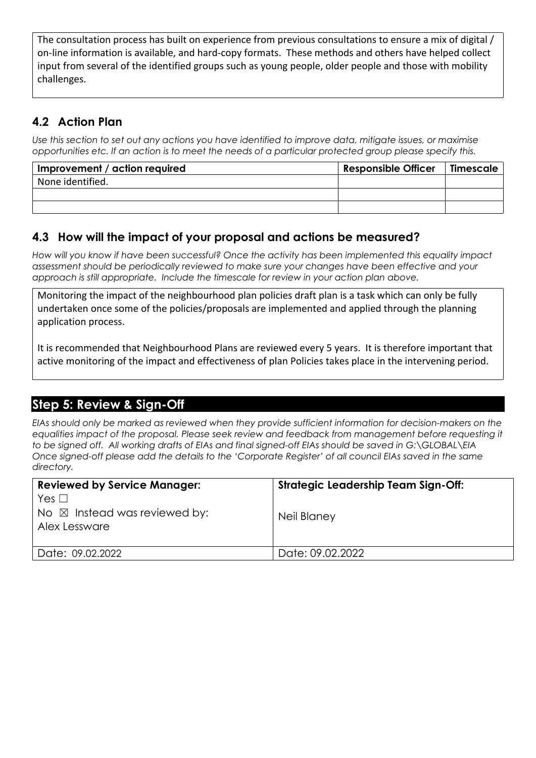The consultation process has built on experience from previous consultations to ensure a mix of digital / on-line information is available, and hard-copy formats. These methods and others have helped collect input from several of the identified groups such as young people, older people and those with mobility challenges.

## **4.2 Action Plan**

Use this section to set out any actions you have identified to improve data, mitigate issues, or maximise opportunities etc. If an action is to meet the needs of a particular protected group please specify this.

| Improvement / action required | <b>Responsible Officer</b> | <b>Timescale</b> |
|-------------------------------|----------------------------|------------------|
| None identified.              |                            |                  |
|                               |                            |                  |
|                               |                            |                  |

## **4.3 How will the impact of your proposal and actions be measured?**

*How will you know if have been successful? Once the activity has been implemented this equality impact assessment should be periodically reviewed to make sure your changes have been effective and your approach is still appropriate. Include the timescale for review in your action plan above.*

Monitoring the impact of the neighbourhood plan policies draft plan is a task which can only be fully undertaken once some of the policies/proposals are implemented and applied through the planning application process.

It is recommended that Neighbourhood Plans are reviewed every 5 years. It is therefore important that active monitoring of the impact and effectiveness of plan Policies takes place in the intervening period.

# **Step 5: Review & Sign-Off**

*EIAs should only be marked as reviewed when they provide sufficient information for decision-makers on the equalities impact of the proposal. Please seek review and feedback from management before requesting it to be signed off. All working drafts of EIAs and final signed-off EIAs should be saved in G:\GLOBAL\EIA*  Once signed-off please add the details to the 'Corporate Register' of all council EIAs saved in the same *directory.*

| <b>Reviewed by Service Manager:</b>                                                             | <b>Strategic Leadership Team Sign-Off:</b> |
|-------------------------------------------------------------------------------------------------|--------------------------------------------|
| Yes $\Box$<br>$\overline{\phantom{a}}$ No $\boxtimes$ Instead was reviewed by:<br>Alex Lessware | Neil Blaney                                |
| Date: 09.02.2022                                                                                | Date: 09.02.2022                           |